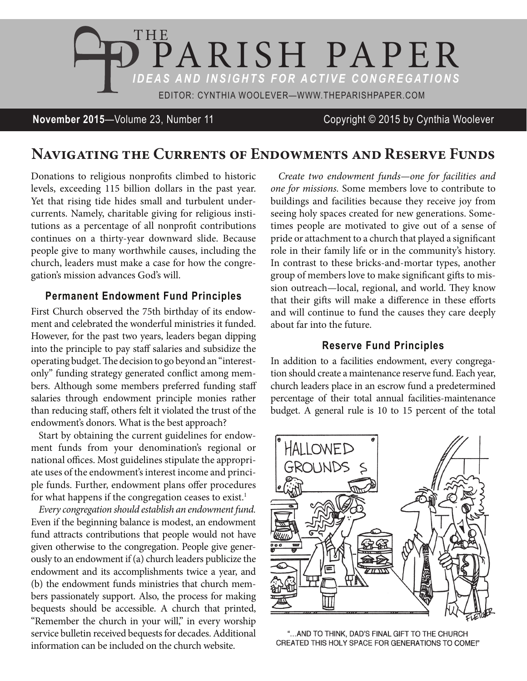

## **November 2015**—Volume 23, Number 11 Copyright © 2015 by Cynthia Woolever

# **Navigating the Currents of Endowments and Reserve Funds**

Donations to religious nonprofits climbed to historic levels, exceeding 115 billion dollars in the past year. Yet that rising tide hides small and turbulent undercurrents. Namely, charitable giving for religious institutions as a percentage of all nonprofit contributions continues on a thirty-year downward slide. Because people give to many worthwhile causes, including the church, leaders must make a case for how the congregation's mission advances God's will.

### **Permanent Endowment Fund Principles**

First Church observed the 75th birthday of its endowment and celebrated the wonderful ministries it funded. However, for the past two years, leaders began dipping into the principle to pay staff salaries and subsidize the operating budget. The decision to go beyond an "interestonly" funding strategy generated conflict among members. Although some members preferred funding staff salaries through endowment principle monies rather than reducing staff, others felt it violated the trust of the endowment's donors. What is the best approach?

Start by obtaining the current guidelines for endowment funds from your denomination's regional or national offices. Most guidelines stipulate the appropriate uses of the endowment's interest income and principle funds. Further, endowment plans offer procedures for what happens if the congregation ceases to exist.<sup>1</sup>

*Every congregation should establish an endowment fund.*  Even if the beginning balance is modest, an endowment fund attracts contributions that people would not have given otherwise to the congregation. People give generously to an endowment if (a) church leaders publicize the endowment and its accomplishments twice a year, and (b) the endowment funds ministries that church members passionately support. Also, the process for making bequests should be accessible. A church that printed, "Remember the church in your will," in every worship service bulletin received bequests for decades. Additional information can be included on the church website.

*Create two endowment funds—one for facilities and one for missions.* Some members love to contribute to buildings and facilities because they receive joy from seeing holy spaces created for new generations. Sometimes people are motivated to give out of a sense of pride or attachment to a church that played a significant role in their family life or in the community's history. In contrast to these bricks-and-mortar types, another group of members love to make significant gifts to mission outreach—local, regional, and world. They know that their gifts will make a difference in these efforts and will continue to fund the causes they care deeply about far into the future.

#### **Reserve Fund Principles**

In addition to a facilities endowment, every congregation should create a maintenance reserve fund. Each year, church leaders place in an escrow fund a predetermined percentage of their total annual facilities-maintenance budget. A general rule is 10 to 15 percent of the total



"... AND TO THINK, DAD'S FINAL GIFT TO THE CHURCH CREATED THIS HOLY SPACE FOR GENERATIONS TO COME!"